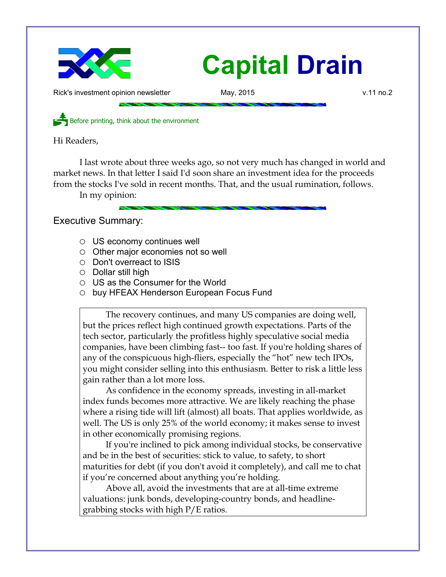

# **Capital Drain**

Rick's investment opinion newsletter May, 2015 May, 2015

Before printing, think about the environment

Hi Readers,

I last wrote about three weeks ago, so not very much has changed in world and market news. In that letter I said I'd soon share an investment idea for the proceeds from the stocks I've sold in recent months. That, and the usual rumination, follows. In my opinion:

Executive Summary:

- US economy continues well
- Other major economies not so well
- Don't overreact to ISIS
- Dollar still high
- US as the Consumer for the World
- buy HFEAX Henderson European Focus Fund

The recovery continues, and many US companies are doing well, but the prices reflect high continued growth expectations. Parts of the tech sector, particularly the profitless highly speculative social media companies, have been climbing fast-- too fast. If you're holding shares of any of the conspicuous high-fliers, especially the "hot" new tech IPOs, you might consider selling into this enthusiasm. Better to risk a little less gain rather than a lot more loss.

As confidence in the economy spreads, investing in all-market index funds becomes more attractive. We are likely reaching the phase where a rising tide will lift (almost) all boats. That applies worldwide, as well. The US is only 25% of the world economy; it makes sense to invest in other economically promising regions.

If you're inclined to pick among individual stocks, be conservative and be in the best of securities: stick to value, to safety, to short maturities for debt (if you don't avoid it completely), and call me to chat if you're concerned about anything you're holding.

Above all, avoid the investments that are at all-time extreme valuations: junk bonds, developing-country bonds, and headlinegrabbing stocks with high P/E ratios.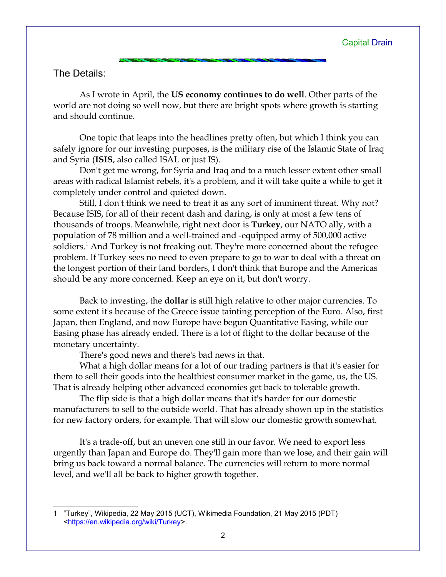## The Details:

As I wrote in April, the **US economy continues to do well**. Other parts of the world are not doing so well now, but there are bright spots where growth is starting and should continue.

One topic that leaps into the headlines pretty often, but which I think you can safely ignore for our investing purposes, is the military rise of the Islamic State of Iraq and Syria (**ISIS**, also called ISAL or just IS).

Don't get me wrong, for Syria and Iraq and to a much lesser extent other small areas with radical Islamist rebels, it's a problem, and it will take quite a while to get it completely under control and quieted down.

Still, I don't think we need to treat it as any sort of imminent threat. Why not? Because ISIS, for all of their recent dash and daring, is only at most a few tens of thousands of troops. Meanwhile, right next door is **Turkey**, our NATO ally, with a population of 78 million and a well-trained and -equipped army of 500,000 active soldiers.<sup>[1](#page-1-0)</sup> And Turkey is not freaking out. They're more concerned about the refugee problem. If Turkey sees no need to even prepare to go to war to deal with a threat on the longest portion of their land borders, I don't think that Europe and the Americas should be any more concerned. Keep an eye on it, but don't worry.

Back to investing, the **dollar** is still high relative to other major currencies. To some extent it's because of the Greece issue tainting perception of the Euro. Also, first Japan, then England, and now Europe have begun Quantitative Easing, while our Easing phase has already ended. There is a lot of flight to the dollar because of the monetary uncertainty.

There's good news and there's bad news in that.

What a high dollar means for a lot of our trading partners is that it's easier for them to sell their goods into the healthiest consumer market in the game, us, the US. That is already helping other advanced economies get back to tolerable growth.

The flip side is that a high dollar means that it's harder for our domestic manufacturers to sell to the outside world. That has already shown up in the statistics for new factory orders, for example. That will slow our domestic growth somewhat.

It's a trade-off, but an uneven one still in our favor. We need to export less urgently than Japan and Europe do. They'll gain more than we lose, and their gain will bring us back toward a normal balance. The currencies will return to more normal level, and we'll all be back to higher growth together.

<span id="page-1-0"></span><sup>1</sup> "Turkey", Wikipedia, 22 May 2015 (UCT), Wikimedia Foundation, 21 May 2015 (PDT) [<https://en.wikipedia.org/wiki/Turkey>](https://en.wikipedia.org/wiki/Turkey).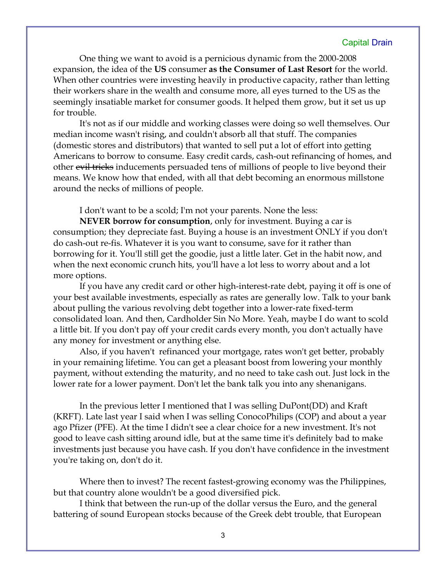### Capital Drain

One thing we want to avoid is a pernicious dynamic from the 2000-2008 expansion, the idea of the **US** consumer **as the Consumer of Last Resort** for the world. When other countries were investing heavily in productive capacity, rather than letting their workers share in the wealth and consume more, all eyes turned to the US as the seemingly insatiable market for consumer goods. It helped them grow, but it set us up for trouble.

It's not as if our middle and working classes were doing so well themselves. Our median income wasn't rising, and couldn't absorb all that stuff. The companies (domestic stores and distributors) that wanted to sell put a lot of effort into getting Americans to borrow to consume. Easy credit cards, cash-out refinancing of homes, and other evil tricks inducements persuaded tens of millions of people to live beyond their means. We know how that ended, with all that debt becoming an enormous millstone around the necks of millions of people.

I don't want to be a scold; I'm not your parents. None the less:

**NEVER borrow for consumption**, only for investment. Buying a car is consumption; they depreciate fast. Buying a house is an investment ONLY if you don't do cash-out re-fis. Whatever it is you want to consume, save for it rather than borrowing for it. You'll still get the goodie, just a little later. Get in the habit now, and when the next economic crunch hits, you'll have a lot less to worry about and a lot more options.

If you have any credit card or other high-interest-rate debt, paying it off is one of your best available investments, especially as rates are generally low. Talk to your bank about pulling the various revolving debt together into a lower-rate fixed-term consolidated loan. And then, Cardholder Sin No More. Yeah, maybe I do want to scold a little bit. If you don't pay off your credit cards every month, you don't actually have any money for investment or anything else.

Also, if you haven't refinanced your mortgage, rates won't get better, probably in your remaining lifetime. You can get a pleasant boost from lowering your monthly payment, without extending the maturity, and no need to take cash out. Just lock in the lower rate for a lower payment. Don't let the bank talk you into any shenanigans.

In the previous letter I mentioned that I was selling DuPont(DD) and Kraft (KRFT). Late last year I said when I was selling ConocoPhilips (COP) and about a year ago Pfizer (PFE). At the time I didn't see a clear choice for a new investment. It's not good to leave cash sitting around idle, but at the same time it's definitely bad to make investments just because you have cash. If you don't have confidence in the investment you're taking on, don't do it.

Where then to invest? The recent fastest-growing economy was the Philippines, but that country alone wouldn't be a good diversified pick.

I think that between the run-up of the dollar versus the Euro, and the general battering of sound European stocks because of the Greek debt trouble, that European